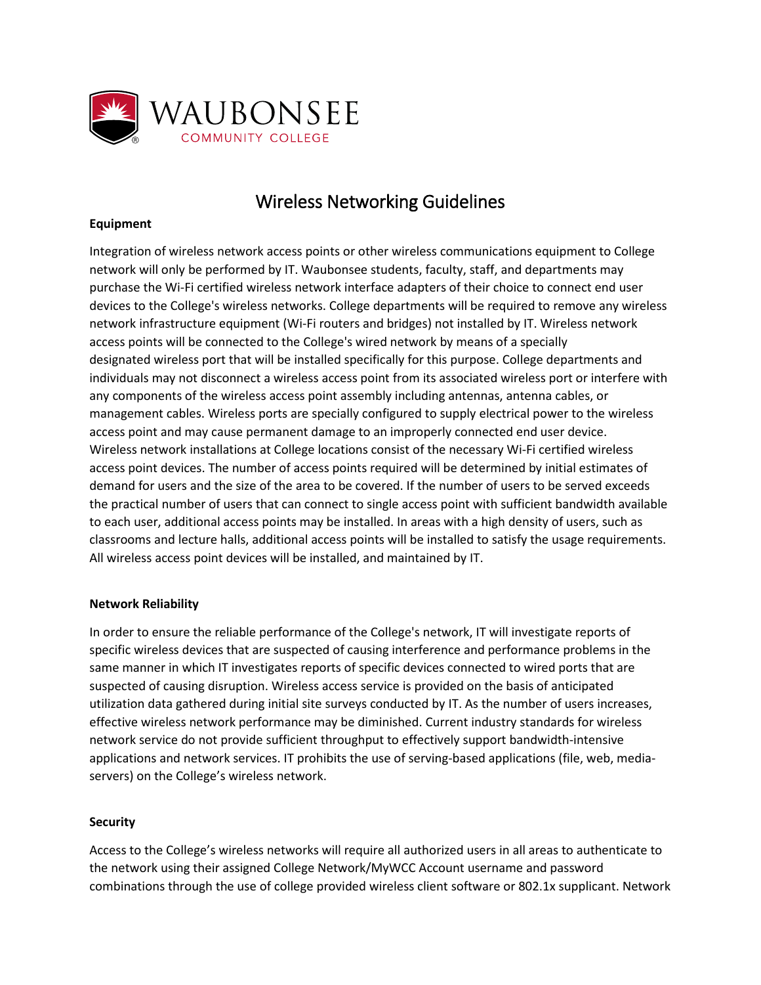

# Wireless Networking Guidelines

## **Equipment**

Integration of wireless network access points or other wireless communications equipment to College network will only be performed by IT. Waubonsee students, faculty, staff, and departments may purchase the Wi‐Fi certified wireless network interface adapters of their choice to connect end user devices to the College's wireless networks. College departments will be required to remove any wireless network infrastructure equipment (Wi‐Fi routers and bridges) not installed by IT. Wireless network access points will be connected to the College's wired network by means of a specially designated wireless port that will be installed specifically for this purpose. College departments and individuals may not disconnect a wireless access point from its associated wireless port or interfere with any components of the wireless access point assembly including antennas, antenna cables, or management cables. Wireless ports are specially configured to supply electrical power to the wireless access point and may cause permanent damage to an improperly connected end user device. Wireless network installations at College locations consist of the necessary Wi‐Fi certified wireless access point devices. The number of access points required will be determined by initial estimates of demand for users and the size of the area to be covered. If the number of users to be served exceeds the practical number of users that can connect to single access point with sufficient bandwidth available to each user, additional access points may be installed. In areas with a high density of users, such as classrooms and lecture halls, additional access points will be installed to satisfy the usage requirements. All wireless access point devices will be installed, and maintained by IT.

## **Network Reliability**

In order to ensure the reliable performance of the College's network, IT will investigate reports of specific wireless devices that are suspected of causing interference and performance problems in the same manner in which IT investigates reports of specific devices connected to wired ports that are suspected of causing disruption. Wireless access service is provided on the basis of anticipated utilization data gathered during initial site surveys conducted by IT. As the number of users increases, effective wireless network performance may be diminished. Current industry standards for wireless network service do not provide sufficient throughput to effectively support bandwidth‐intensive applications and network services. IT prohibits the use of serving-based applications (file, web, mediaservers) on the College's wireless network.

#### **Security**

Access to the College's wireless networks will require all authorized users in all areas to authenticate to the network using their assigned College Network/MyWCC Account username and password combinations through the use of college provided wireless client software or 802.1x supplicant. Network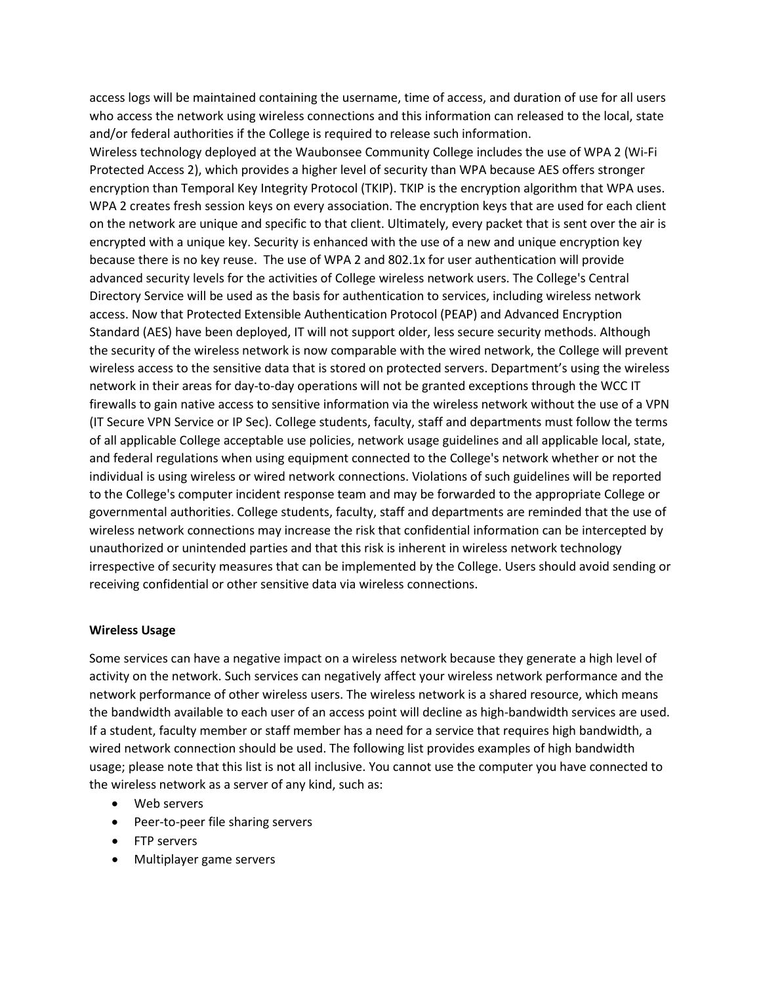access logs will be maintained containing the username, time of access, and duration of use for all users who access the network using wireless connections and this information can released to the local, state and/or federal authorities if the College is required to release such information.

Wireless technology deployed at the Waubonsee Community College includes the use of WPA 2 (Wi‐Fi Protected Access 2), which provides a higher level of security than WPA because AES offers stronger encryption than Temporal Key Integrity Protocol (TKIP). TKIP is the encryption algorithm that WPA uses. WPA 2 creates fresh session keys on every association. The encryption keys that are used for each client on the network are unique and specific to that client. Ultimately, every packet that is sent over the air is encrypted with a unique key. Security is enhanced with the use of a new and unique encryption key because there is no key reuse. The use of WPA 2 and 802.1x for user authentication will provide advanced security levels for the activities of College wireless network users. The College's Central Directory Service will be used as the basis for authentication to services, including wireless network access. Now that Protected Extensible Authentication Protocol (PEAP) and Advanced Encryption Standard (AES) have been deployed, IT will not support older, less secure security methods. Although the security of the wireless network is now comparable with the wired network, the College will prevent wireless access to the sensitive data that is stored on protected servers. Department's using the wireless network in their areas for day‐to‐day operations will not be granted exceptions through the WCC IT firewalls to gain native access to sensitive information via the wireless network without the use of a VPN (IT Secure VPN Service or IP Sec). College students, faculty, staff and departments must follow the terms of all applicable College acceptable use policies, network usage guidelines and all applicable local, state, and federal regulations when using equipment connected to the College's network whether or not the individual is using wireless or wired network connections. Violations of such guidelines will be reported to the College's computer incident response team and may be forwarded to the appropriate College or governmental authorities. College students, faculty, staff and departments are reminded that the use of wireless network connections may increase the risk that confidential information can be intercepted by unauthorized or unintended parties and that this risk is inherent in wireless network technology irrespective of security measures that can be implemented by the College. Users should avoid sending or receiving confidential or other sensitive data via wireless connections.

#### **Wireless Usage**

Some services can have a negative impact on a wireless network because they generate a high level of activity on the network. Such services can negatively affect your wireless network performance and the network performance of other wireless users. The wireless network is a shared resource, which means the bandwidth available to each user of an access point will decline as high-bandwidth services are used. If a student, faculty member or staff member has a need for a service that requires high bandwidth, a wired network connection should be used. The following list provides examples of high bandwidth usage; please note that this list is not all inclusive. You cannot use the computer you have connected to the wireless network as a server of any kind, such as:

- Web servers
- Peer‐to‐peer file sharing servers
- FTP servers
- Multiplayer game servers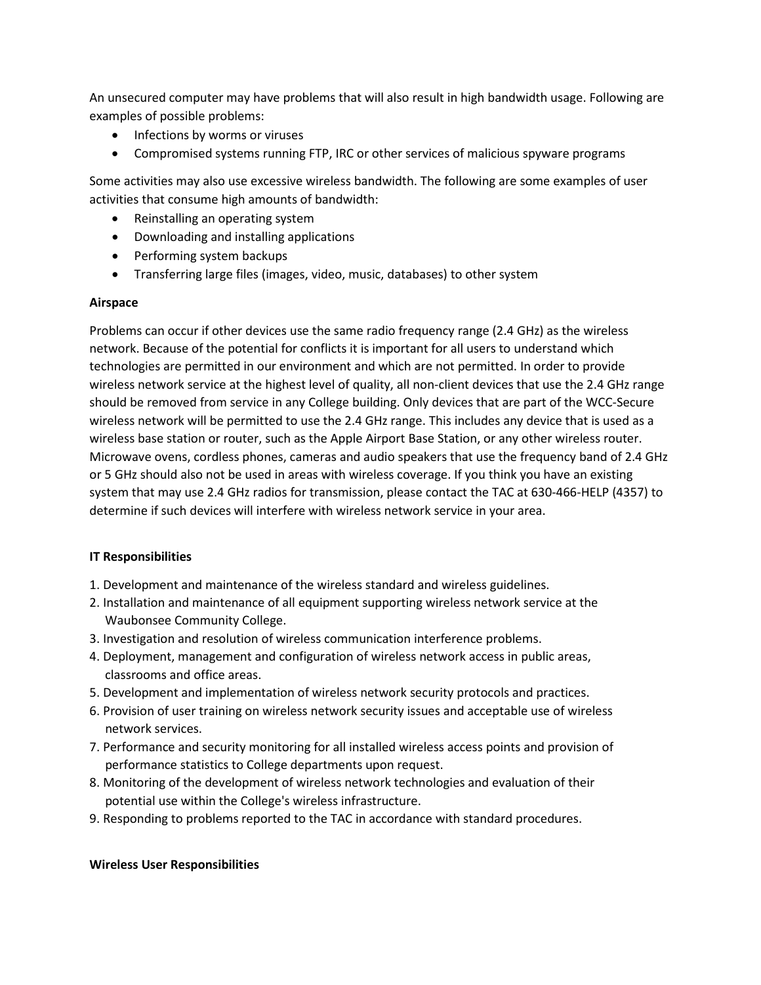An unsecured computer may have problems that will also result in high bandwidth usage. Following are examples of possible problems:

- Infections by worms or viruses
- Compromised systems running FTP, IRC or other services of malicious spyware programs

Some activities may also use excessive wireless bandwidth. The following are some examples of user activities that consume high amounts of bandwidth:

- Reinstalling an operating system
- Downloading and installing applications
- Performing system backups
- Transferring large files (images, video, music, databases) to other system

### **Airspace**

Problems can occur if other devices use the same radio frequency range (2.4 GHz) as the wireless network. Because of the potential for conflicts it is important for all users to understand which technologies are permitted in our environment and which are not permitted. In order to provide wireless network service at the highest level of quality, all non-client devices that use the 2.4 GHz range should be removed from service in any College building. Only devices that are part of the WCC‐Secure wireless network will be permitted to use the 2.4 GHz range. This includes any device that is used as a wireless base station or router, such as the Apple Airport Base Station, or any other wireless router. Microwave ovens, cordless phones, cameras and audio speakers that use the frequency band of 2.4 GHz or 5 GHz should also not be used in areas with wireless coverage. If you think you have an existing system that may use 2.4 GHz radios for transmission, please contact the TAC at 630‐466‐HELP (4357) to determine if such devices will interfere with wireless network service in your area.

## **IT Responsibilities**

- 1. Development and maintenance of the wireless standard and wireless guidelines.
- 2. Installation and maintenance of all equipment supporting wireless network service at the Waubonsee Community College.
- 3. Investigation and resolution of wireless communication interference problems.
- 4. Deployment, management and configuration of wireless network access in public areas, classrooms and office areas.
- 5. Development and implementation of wireless network security protocols and practices.
- 6. Provision of user training on wireless network security issues and acceptable use of wireless network services.
- 7. Performance and security monitoring for all installed wireless access points and provision of performance statistics to College departments upon request.
- 8. Monitoring of the development of wireless network technologies and evaluation of their potential use within the College's wireless infrastructure.
- 9. Responding to problems reported to the TAC in accordance with standard procedures.

## **Wireless User Responsibilities**